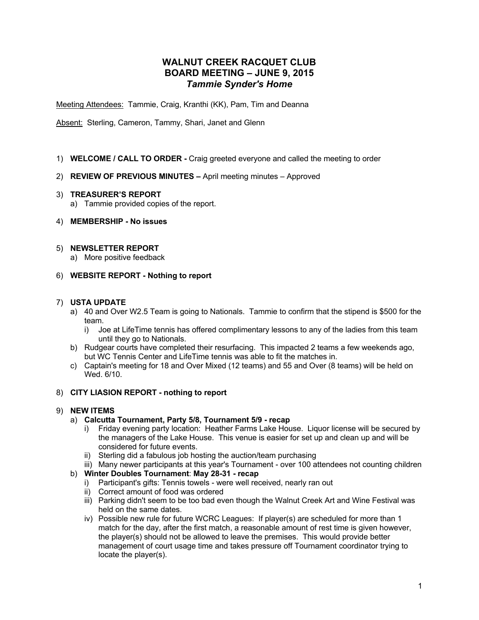# **WALNUT CREEK RACQUET CLUB BOARD MEETING – JUNE 9, 2015** *Tammie Synder's Home*

Meeting Attendees: Tammie, Craig, Kranthi (KK), Pam, Tim and Deanna

Absent: Sterling, Cameron, Tammy, Shari, Janet and Glenn

- 1) **WELCOME / CALL TO ORDER -** Craig greeted everyone and called the meeting to order
- 2) **REVIEW OF PREVIOUS MINUTES –** April meeting minutes Approved
- 3) **TREASURER'S REPORT**
	- a) Tammie provided copies of the report.
- 4) **MEMBERSHIP - No issues**
- 5) **NEWSLETTER REPORT** 
	- a) More positive feedback
- 6) **WEBSITE REPORT - Nothing to report**

#### 7) **USTA UPDATE**

- a) 40 and Over W2.5 Team is going to Nationals. Tammie to confirm that the stipend is \$500 for the team.
	- i) Joe at LifeTime tennis has offered complimentary lessons to any of the ladies from this team until they go to Nationals.
- b) Rudgear courts have completed their resurfacing. This impacted 2 teams a few weekends ago, but WC Tennis Center and LifeTime tennis was able to fit the matches in.
- c) Captain's meeting for 18 and Over Mixed (12 teams) and 55 and Over (8 teams) will be held on Wed. 6/10.

### 8) **CITY LIASION REPORT - nothing to report**

### 9) **NEW ITEMS**

- a) **Calcutta Tournament, Party 5/8, Tournament 5/9 - recap**
	- i) Friday evening party location: Heather Farms Lake House. Liquor license will be secured by the managers of the Lake House. This venue is easier for set up and clean up and will be considered for future events.
	- ii) Sterling did a fabulous job hosting the auction/team purchasing
	- iii) Many newer participants at this year's Tournament over 100 attendees not counting children

## b) **Winter Doubles Tournament**: **May 28-31 - recap**

- i) Participant's gifts: Tennis towels were well received, nearly ran out
- ii) Correct amount of food was ordered
- iii) Parking didn't seem to be too bad even though the Walnut Creek Art and Wine Festival was held on the same dates.
- iv) Possible new rule for future WCRC Leagues: If player(s) are scheduled for more than 1 match for the day, after the first match, a reasonable amount of rest time is given however, the player(s) should not be allowed to leave the premises. This would provide better management of court usage time and takes pressure off Tournament coordinator trying to locate the player(s).